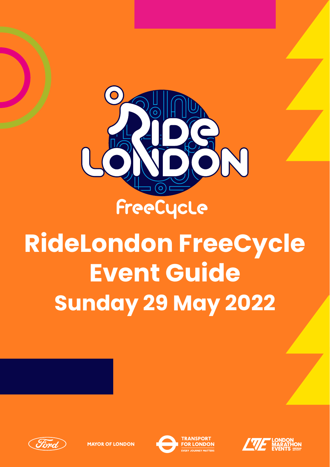

RideLondon Sunday 29 May 2022

# **RideLondon FreeCycle Event Guide Sunday 29 May 2022**







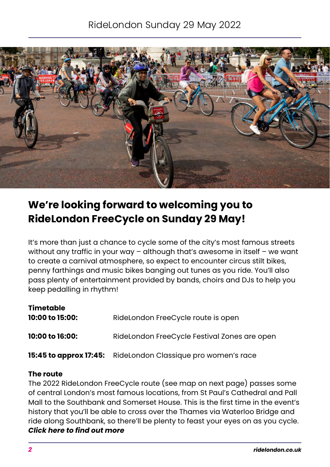# RideLondon Sunday 29 May 2022



# **We're looking forward to welcoming you to RideLondon FreeCycle on Sunday 29 May!**

It's more than just a chance to cycle some of the city's most famous streets without any traffic in your way – although that's awesome in itself – we want to create a carnival atmosphere, so expect to encounter circus stilt bikes, penny farthings and music bikes banging out tunes as you ride. You'll also pass plenty of entertainment provided by bands, choirs and DJs to help you keep pedalling in rhythm!

| Timetable<br>10:00 to 15:00: | RideLondon FreeCycle route is open                           |
|------------------------------|--------------------------------------------------------------|
| 10:00 to 16:00:              | RideLondon FreeCycle Festival Zones are open                 |
|                              | 15:45 to approx 17:45: RideLondon Classique pro women's race |

#### **The route**

The 2022 RideLondon FreeCycle route (see map on next page) passes some of central London's most famous locations, from St Paul's Cathedral and Pall Mall to the Southbank and Somerset House. This is the first time in the event's history that you'll be able to cross over the Thames via Waterloo Bridge and ride along Southbank, so there'll be plenty to feast your eyes on as you cycle. *[Click here to find out more](https://www.ridelondon.co.uk/our-rides/ridelondon-freecycle)*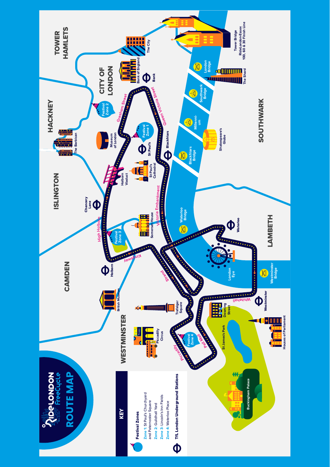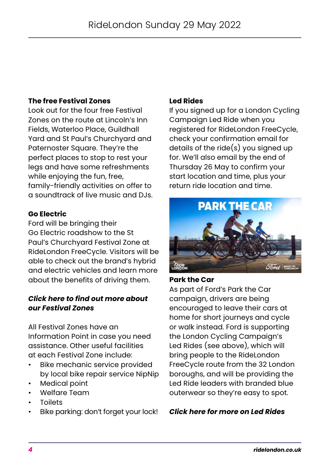## **The free Festival Zones**

Look out for the four free Festival Zones on the route at Lincoln's Inn Fields, Waterloo Place, Guildhall Yard and St Paul's Churchyard and Paternoster Square. They're the perfect places to stop to rest your legs and have some refreshments while enjoying the fun, free, family-friendly activities on offer to a soundtrack of live music and DJs.

#### **Go Electric**

Ford will be bringing their Go Electric roadshow to the St Paul's Churchyard Festival Zone at RideLondon FreeCycle. Visitors will be able to check out the brand's hybrid and electric vehicles and learn more about the benefits of driving them.

#### *[Click here to find out more about](https://www.ridelondon.co.uk/our-rides/ridelondon-freecycle/festival-zones)  [our Festival Zones](https://www.ridelondon.co.uk/our-rides/ridelondon-freecycle/festival-zones)*

All Festival Zones have an Information Point in case you need assistance. Other useful facilities at each Festival Zone include:

- Bike mechanic service provided by local bike repair service NipNip
- Medical point
- Welfare Team
- **Toilets**
- Bike parking: don't forget your lock!

#### **Led Rides**

If you signed up for a London Cycling Campaign Led Ride when you registered for RideLondon FreeCycle, check your confirmation email for details of the ride(s) you signed up for. We'll also email by the end of Thursday 26 May to confirm your start location and time, plus your return ride location and time.



#### **Park the Car**

As part of Ford's Park the Car campaign, drivers are being encouraged to leave their cars at home for short journeys and cycle or walk instead. Ford is supporting the London Cycling Campaign's Led Rides (see above), which will bring people to the RideLondon FreeCycle route from the 32 London boroughs, and will be providing the Led Ride leaders with branded blue outerwear so they're easy to spot.

#### *[Click here for more on Led Rides](https://www.ridelondon.co.uk/our-rides/freecycle-led-rides)*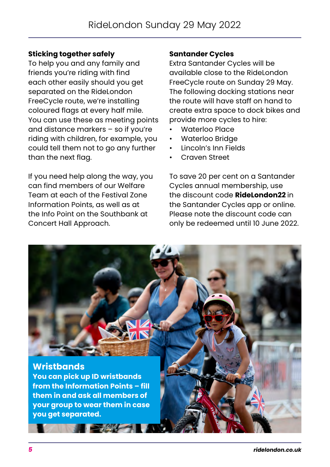## **Sticking together safely**

To help you and any family and friends you're riding with find each other easily should you get separated on the RideLondon FreeCycle route, we're installing coloured flags at every half mile. You can use these as meeting points and distance markers – so if you're riding with children, for example, you could tell them not to go any further than the next flag.

If you need help along the way, you can find members of our Welfare Team at each of the Festival Zone Information Points, as well as at the Info Point on the Southbank at Concert Hall Approach.

#### **Santander Cycles**

Extra Santander Cycles will be available close to the RideLondon FreeCycle route on Sunday 29 May. The following docking stations near the route will have staff on hand to create extra space to dock bikes and provide more cycles to hire:

- Waterloo Place
- Waterloo Bridge
- Lincoln's Inn Fields
- Craven Street

To save 20 per cent on a Santander Cycles annual membership, use the discount code **RideLondon22** in the Santander Cycles app or online. Please note the discount code can only be redeemed until 10 June 2022.